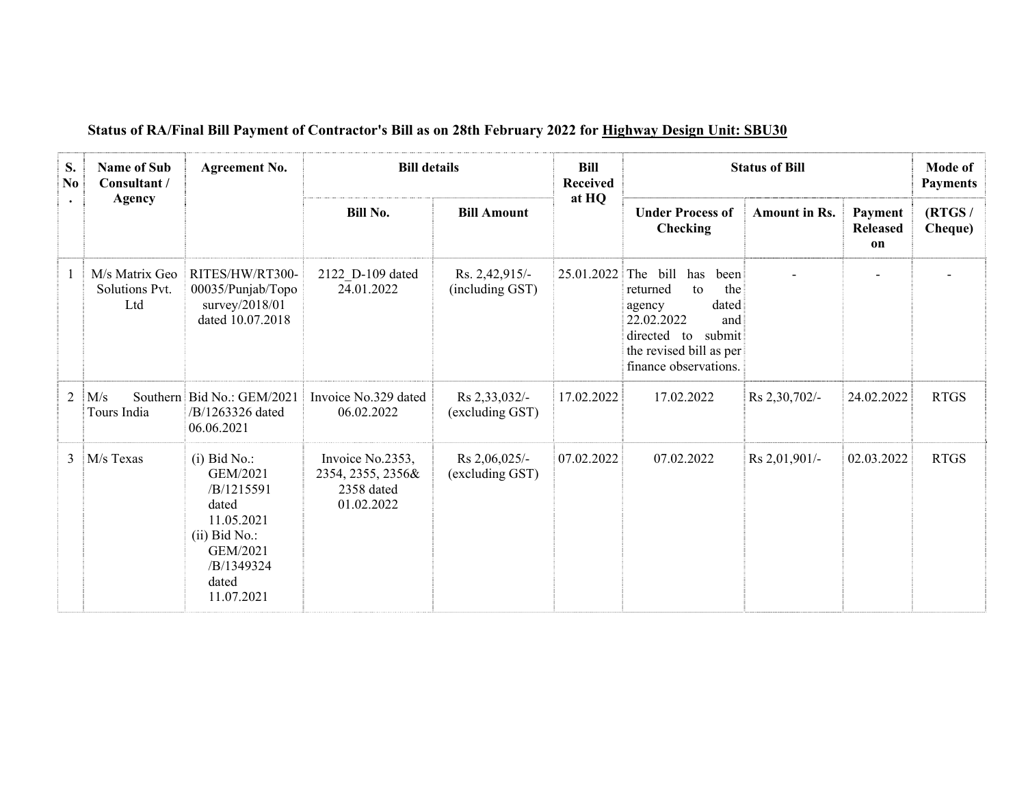| S.<br>No<br>$\bullet$ | <b>Name of Sub</b><br>Consultant /<br><b>Agency</b> | <b>Agreement No.</b>                                                                                                                | <b>Bill details</b>                                               |                                   | <b>Bill</b><br><b>Received</b><br>at HQ | <b>Status of Bill</b>                                                                                                                                                    | Mode of<br><b>Payments</b> |                                         |                   |
|-----------------------|-----------------------------------------------------|-------------------------------------------------------------------------------------------------------------------------------------|-------------------------------------------------------------------|-----------------------------------|-----------------------------------------|--------------------------------------------------------------------------------------------------------------------------------------------------------------------------|----------------------------|-----------------------------------------|-------------------|
|                       |                                                     |                                                                                                                                     | <b>Bill No.</b>                                                   | <b>Bill Amount</b>                |                                         | <b>Under Process of</b><br><b>Checking</b>                                                                                                                               | <b>Amount in Rs.</b>       | Payment<br><b>Released</b><br><b>on</b> | (RTGS/<br>Cheque) |
|                       | M/s Matrix Geo<br>Solutions Pvt.<br>Ltd             | RITES/HW/RT300-<br>00035/Punjab/Topo<br>survey/2018/01<br>dated 10.07.2018                                                          | 2122 D-109 dated<br>24.01.2022                                    | Rs. 2,42,915/-<br>(including GST) | 25.01.2022                              | The bill<br>has<br>been<br>the<br>returned<br>to<br>dated<br>agency<br>22.02.2022<br>and<br>directed<br>submit<br>to<br>the revised bill as per<br>finance observations. |                            |                                         |                   |
| $\overline{2}$        | M/s<br>Tours India                                  | Southern Bid No.: GEM/2021<br>/B/1263326 dated<br>06.06.2021                                                                        | Invoice No.329 dated<br>06.02.2022                                | Rs 2,33,032/-<br>(excluding GST)  | 17.02.2022                              | 17.02.2022                                                                                                                                                               | Rs 2,30,702/-              | 24.02.2022                              | <b>RTGS</b>       |
| 3                     | M/s Texas                                           | $(i)$ Bid No.:<br>GEM/2021<br>/B/1215591<br>dated<br>11.05.2021<br>$(ii)$ Bid No.:<br>GEM/2021<br>/B/1349324<br>dated<br>11.07.2021 | Invoice No.2353,<br>2354, 2355, 2356&<br>2358 dated<br>01.02.2022 | Rs 2,06,025/-<br>(excluding GST)  | 07.02.2022                              | 07.02.2022                                                                                                                                                               | Rs 2,01,901/-              | 02.03.2022                              | <b>RTGS</b>       |

## **Status of RA/Final Bill Payment of Contractor's Bill as on 28th February 2022 for Highway Design Unit: SBU30**